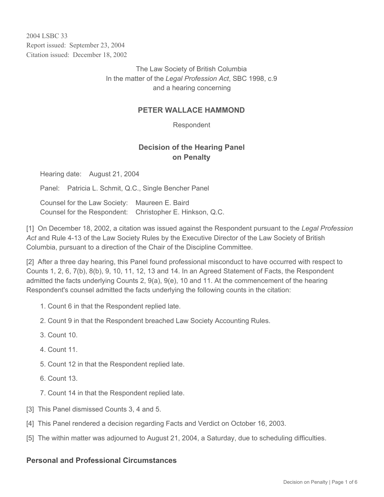2004 LSBC 33 Report issued: September 23, 2004 Citation issued: December 18, 2002

> The Law Society of British Columbia In the matter of the *Legal Profession Act*, SBC 1998, c.9 and a hearing concerning

### **PETER WALLACE HAMMOND**

Respondent

# **Decision of the Hearing Panel on Penalty**

Hearing date: August 21, 2004

Panel: Patricia L. Schmit, Q.C., Single Bencher Panel

Counsel for the Law Society: Maureen E. Baird Counsel for the Respondent: Christopher E. Hinkson, Q.C.

[1] On December 18, 2002, a citation was issued against the Respondent pursuant to the *Legal Profession Act* and Rule 4-13 of the Law Society Rules by the Executive Director of the Law Society of British Columbia, pursuant to a direction of the Chair of the Discipline Committee.

[2] After a three day hearing, this Panel found professional misconduct to have occurred with respect to Counts 1, 2, 6, 7(b), 8(b), 9, 10, 11, 12, 13 and 14. In an Agreed Statement of Facts, the Respondent admitted the facts underlying Counts 2, 9(a), 9(e), 10 and 11. At the commencement of the hearing Respondent's counsel admitted the facts underlying the following counts in the citation:

- 1. Count 6 in that the Respondent replied late.
- 2. Count 9 in that the Respondent breached Law Society Accounting Rules.
- 3. Count 10.
- 4. Count 11.
- 5. Count 12 in that the Respondent replied late.
- 6. Count 13.
- 7. Count 14 in that the Respondent replied late.
- [3] This Panel dismissed Counts 3, 4 and 5.
- [4] This Panel rendered a decision regarding Facts and Verdict on October 16, 2003.
- [5] The within matter was adjourned to August 21, 2004, a Saturday, due to scheduling difficulties.

#### **Personal and Professional Circumstances**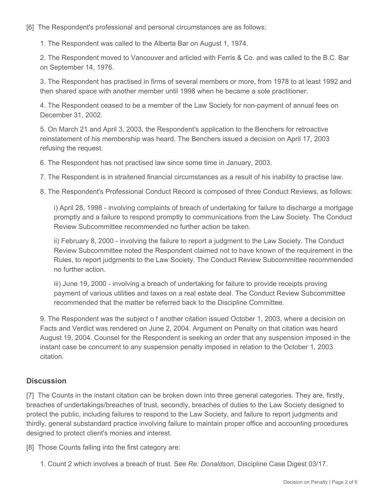[6] The Respondent's professional and personal circumstances are as follows:

1. The Respondent was called to the Alberta Bar on August 1, 1974.

2. The Respondent moved to Vancouver and articled with Ferris & Co. and was called to the B.C. Bar on September 14, 1976.

3. The Respondent has practised in firms of several members or more, from 1978 to at least 1992 and then shared space with another member until 1998 when he became a sole practitioner.

4. The Respondent ceased to be a member of the Law Society for non-payment of annual fees on December 31, 2002.

5. On March 21 and April 3, 2003, the Respondent's application to the Benchers for retroactive reinstatement of his membership was heard. The Benchers issued a decision on April 17, 2003 refusing the request.

6. The Respondent has not practised law since some time in January, 2003.

7. The Respondent is in straitened financial circumstances as a result of his inability to practise law.

8. The Respondent's Professional Conduct Record is composed of three Conduct Reviews, as follows:

i) April 28, 1998 - involving complaints of breach of undertaking for failure to discharge a mortgage promptly and a failure to respond promptly to communications from the Law Society. The Conduct Review Subcommittee recommended no further action be taken.

ii) February 8, 2000 - involving the failure to report a judgment to the Law Society. The Conduct Review Subcommittee noted the Respondent claimed not to have known of the requirement in the Rules, to report judgments to the Law Society. The Conduct Review Subcommittee recommended no further action.

iii) June 19, 2000 - involving a breach of undertaking for failure to provide receipts proving payment of various utilities and taxes on a real estate deal. The Conduct Review Subcommittee recommended that the matter be referred back to the Discipline Committee.

9. The Respondent was the subject o f another citation issued October 1, 2003, where a decision on Facts and Verdict was rendered on June 2, 2004. Argument on Penalty on that citation was heard August 19, 2004. Counsel for the Respondent is seeking an order that any suspension imposed in the instant case be concurrent to any suspension penalty imposed in relation to the October 1, 2003 citation.

## **Discussion**

[7] The Counts in the instant citation can be broken down into three general categories. They are, firstly, breaches of undertakings/breaches of trust, secondly, breaches of duties to the Law Society designed to protect the public, including failures to respond to the Law Society, and failure to report judgments and thirdly, general substandard practice involving failure to maintain proper office and accounting procedures designed to protect client's monies and interest.

[8] Those Counts falling into the first category are:

1. Count 2 which involves a breach of trust. See *Re: Donaldson*, Discipline Case Digest 03/17.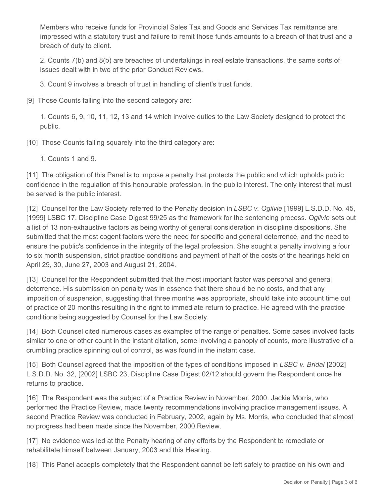Members who receive funds for Provincial Sales Tax and Goods and Services Tax remittance are impressed with a statutory trust and failure to remit those funds amounts to a breach of that trust and a breach of duty to client.

2. Counts 7(b) and 8(b) are breaches of undertakings in real estate transactions, the same sorts of issues dealt with in two of the prior Conduct Reviews.

3. Count 9 involves a breach of trust in handling of client's trust funds.

[9] Those Counts falling into the second category are:

1. Counts 6, 9, 10, 11, 12, 13 and 14 which involve duties to the Law Society designed to protect the public.

[10] Those Counts falling squarely into the third category are:

1. Counts 1 and 9.

[11] The obligation of this Panel is to impose a penalty that protects the public and which upholds public confidence in the regulation of this honourable profession, in the public interest. The only interest that must be served is the public interest.

[12] Counsel for the Law Society referred to the Penalty decision in *LSBC v. Ogilvie* [1999] L.S.D.D. No. 45, [1999] LSBC 17, Discipline Case Digest 99/25 as the framework for the sentencing process. *Ogilvie* sets out a list of 13 non-exhaustive factors as being worthy of general consideration in discipline dispositions. She submitted that the most cogent factors were the need for specific and general deterrence, and the need to ensure the public's confidence in the integrity of the legal profession. She sought a penalty involving a four to six month suspension, strict practice conditions and payment of half of the costs of the hearings held on April 29, 30, June 27, 2003 and August 21, 2004.

[13] Counsel for the Respondent submitted that the most important factor was personal and general deterrence. His submission on penalty was in essence that there should be no costs, and that any imposition of suspension, suggesting that three months was appropriate, should take into account time out of practice of 20 months resulting in the right to immediate return to practice. He agreed with the practice conditions being suggested by Counsel for the Law Society.

[14] Both Counsel cited numerous cases as examples of the range of penalties. Some cases involved facts similar to one or other count in the instant citation, some involving a panoply of counts, more illustrative of a crumbling practice spinning out of control, as was found in the instant case.

[15] Both Counsel agreed that the imposition of the types of conditions imposed in *LSBC v. Bridal* [2002] L.S.D.D. No. 32, [2002] LSBC 23, Discipline Case Digest 02/12 should govern the Respondent once he returns to practice.

[16] The Respondent was the subject of a Practice Review in November, 2000. Jackie Morris, who performed the Practice Review, made twenty recommendations involving practice management issues. A second Practice Review was conducted in February, 2002, again by Ms. Morris, who concluded that almost no progress had been made since the November, 2000 Review.

[17] No evidence was led at the Penalty hearing of any efforts by the Respondent to remediate or rehabilitate himself between January, 2003 and this Hearing.

[18] This Panel accepts completely that the Respondent cannot be left safely to practice on his own and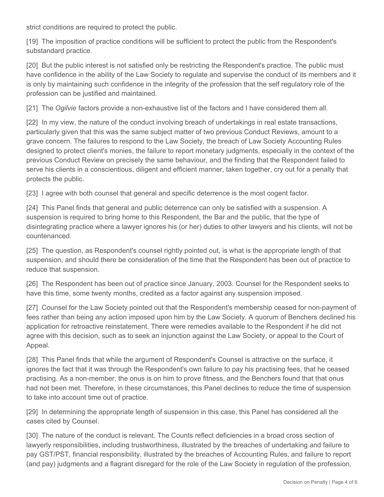strict conditions are required to protect the public.

[19] The imposition of practice conditions will be sufficient to protect the public from the Respondent's substandard practice.

[20] But the public interest is not satisfied only be restricting the Respondent's practice. The public must have confidence in the ability of the Law Society to regulate and supervise the conduct of its members and it is only by maintaining such confidence in the integrity of the profession that the self regulatory role of the profession can be justified and maintained.

[21] The *Ogilvie* factors provide a non-exhaustive list of the factors and I have considered them all.

[22] In my view, the nature of the conduct involving breach of undertakings in real estate transactions, particularly given that this was the same subject matter of two previous Conduct Reviews, amount to a grave concern. The failures to respond to the Law Society, the breach of Law Society Accounting Rules designed to protect client's monies, the failure to report monetary judgments, especially in the context of the previous Conduct Review on precisely the same behaviour, and the finding that the Respondent failed to serve his clients in a conscientious, diligent and efficient manner, taken together, cry out for a penalty that protects the public.

[23] I agree with both counsel that general and specific deterrence is the most cogent factor.

[24] This Panel finds that general and public deterrence can only be satisfied with a suspension. A suspension is required to bring home to this Respondent, the Bar and the public, that the type of disintegrating practice where a lawyer ignores his (or her) duties to other lawyers and his clients, will not be countenanced.

[25] The question, as Respondent's counsel rightly pointed out, is what is the appropriate length of that suspension, and should there be consideration of the time that the Respondent has been out of practice to reduce that suspension.

[26] The Respondent has been out of practice since January, 2003. Counsel for the Respondent seeks to have this time, some twenty months, credited as a factor against any suspension imposed.

[27] Counsel for the Law Society pointed out that the Respondent's membership ceased for non-payment of fees rather than being any action imposed upon him by the Law Society. A quorum of Benchers declined his application for retroactive reinstatement. There were remedies available to the Respondent if he did not agree with this decision, such as to seek an injunction against the Law Society, or appeal to the Court of Appeal.

[28] This Panel finds that while the argument of Respondent's Counsel is attractive on the surface, it ignores the fact that it was through the Respondent's own failure to pay his practising fees, that he ceased practising. As a non-member, the onus is on him to prove fitness, and the Benchers found that that onus had not been met. Therefore, in these circumstances, this Panel declines to reduce the time of suspension to take into account time out of practice.

[29] In determining the appropriate length of suspension in this case, this Panel has considered all the cases cited by Counsel.

[30] The nature of the conduct is relevant. The Counts reflect deficiencies in a broad cross section of lawyerly responsibilities, including trustworthiness, illustrated by the breaches of undertaking and failure to pay GST/PST, financial responsibility, illustrated by the breaches of Accounting Rules, and failure to report (and pay) judgments and a flagrant disregard for the role of the Law Society in regulation of the profession,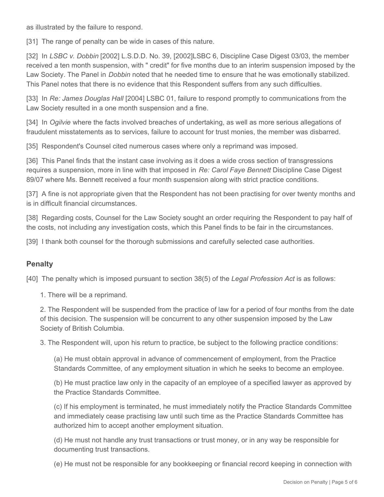as illustrated by the failure to respond.

[31] The range of penalty can be wide in cases of this nature.

[32] In *LSBC v. Dobbin* [2002] L.S.D.D. No. 39, [2002]LSBC 6, Discipline Case Digest 03/03, the member received a ten month suspension, with " credit" for five months due to an interim suspension imposed by the Law Society. The Panel in *Dobbin* noted that he needed time to ensure that he was emotionally stabilized. This Panel notes that there is no evidence that this Respondent suffers from any such difficulties.

[33] In *Re: James Douglas Hall* [2004] LSBC 01, failure to respond promptly to communications from the Law Society resulted in a one month suspension and a fine.

[34] In *Ogilvie* where the facts involved breaches of undertaking, as well as more serious allegations of fraudulent misstatements as to services, failure to account for trust monies, the member was disbarred.

[35] Respondent's Counsel cited numerous cases where only a reprimand was imposed.

[36] This Panel finds that the instant case involving as it does a wide cross section of transgressions requires a suspension, more in line with that imposed in *Re: Carol Faye Bennett* Discipline Case Digest 89/07 where Ms. Bennett received a four month suspension along with strict practice conditions.

[37] A fine is not appropriate given that the Respondent has not been practising for over twenty months and is in difficult financial circumstances.

[38] Regarding costs, Counsel for the Law Society sought an order requiring the Respondent to pay half of the costs, not including any investigation costs, which this Panel finds to be fair in the circumstances.

[39] I thank both counsel for the thorough submissions and carefully selected case authorities.

### **Penalty**

[40] The penalty which is imposed pursuant to section 38(5) of the *Legal Profession Act* is as follows:

1. There will be a reprimand.

2. The Respondent will be suspended from the practice of law for a period of four months from the date of this decision. The suspension will be concurrent to any other suspension imposed by the Law Society of British Columbia.

3. The Respondent will, upon his return to practice, be subject to the following practice conditions:

(a) He must obtain approval in advance of commencement of employment, from the Practice Standards Committee, of any employment situation in which he seeks to become an employee.

(b) He must practice law only in the capacity of an employee of a specified lawyer as approved by the Practice Standards Committee.

(c) If his employment is terminated, he must immediately notify the Practice Standards Committee and immediately cease practising law until such time as the Practice Standards Committee has authorized him to accept another employment situation.

(d) He must not handle any trust transactions or trust money, or in any way be responsible for documenting trust transactions.

(e) He must not be responsible for any bookkeeping or financial record keeping in connection with